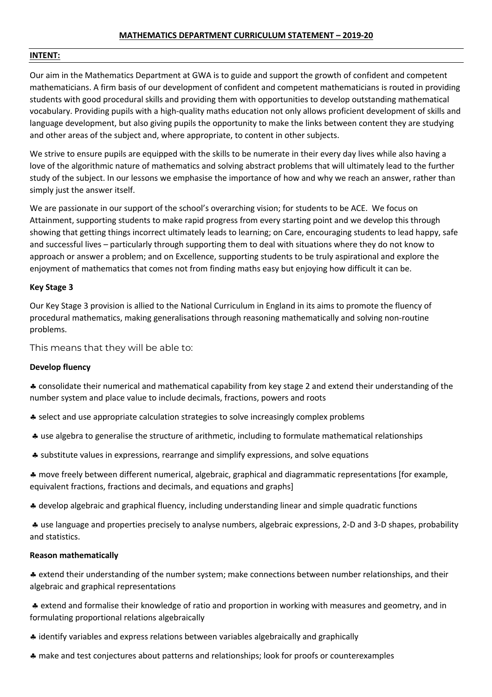# **MATHEMATICS DEPARTMENT CURRICULUM STATEMENT – 2019-20**

#### **INTENT:**

Our aim in the Mathematics Department at GWA is to guide and support the growth of confident and competent mathematicians. A firm basis of our development of confident and competent mathematicians is routed in providing students with good procedural skills and providing them with opportunities to develop outstanding mathematical vocabulary. Providing pupils with a high-quality maths education not only allows proficient development of skills and language development, but also giving pupils the opportunity to make the links between content they are studying and other areas of the subject and, where appropriate, to content in other subjects.

We strive to ensure pupils are equipped with the skills to be numerate in their every day lives while also having a love of the algorithmic nature of mathematics and solving abstract problems that will ultimately lead to the further study of the subject. In our lessons we emphasise the importance of how and why we reach an answer, rather than simply just the answer itself.

We are passionate in our support of the school's overarching vision; for students to be ACE. We focus on Attainment, supporting students to make rapid progress from every starting point and we develop this through showing that getting things incorrect ultimately leads to learning; on Care, encouraging students to lead happy, safe and successful lives – particularly through supporting them to deal with situations where they do not know to approach or answer a problem; and on Excellence, supporting students to be truly aspirational and explore the enjoyment of mathematics that comes not from finding maths easy but enjoying how difficult it can be.

# **Key Stage 3**

Our Key Stage 3 provision is allied to the National Curriculum in England in its aims to promote the fluency of procedural mathematics, making generalisations through reasoning mathematically and solving non-routine problems.

This means that they will be able to:

# **Develop fluency**

§ consolidate their numerical and mathematical capability from key stage 2 and extend their understanding of the number system and place value to include decimals, fractions, powers and roots

- § select and use appropriate calculation strategies to solve increasingly complex problems
- § use algebra to generalise the structure of arithmetic, including to formulate mathematical relationships
- § substitute values in expressions, rearrange and simplify expressions, and solve equations

§ move freely between different numerical, algebraic, graphical and diagrammatic representations [for example, equivalent fractions, fractions and decimals, and equations and graphs]

§ develop algebraic and graphical fluency, including understanding linear and simple quadratic functions

§ use language and properties precisely to analyse numbers, algebraic expressions, 2-D and 3-D shapes, probability and statistics.

#### **Reason mathematically**

§ extend their understanding of the number system; make connections between number relationships, and their algebraic and graphical representations

§ extend and formalise their knowledge of ratio and proportion in working with measures and geometry, and in formulating proportional relations algebraically

- § identify variables and express relations between variables algebraically and graphically
- § make and test conjectures about patterns and relationships; look for proofs or counterexamples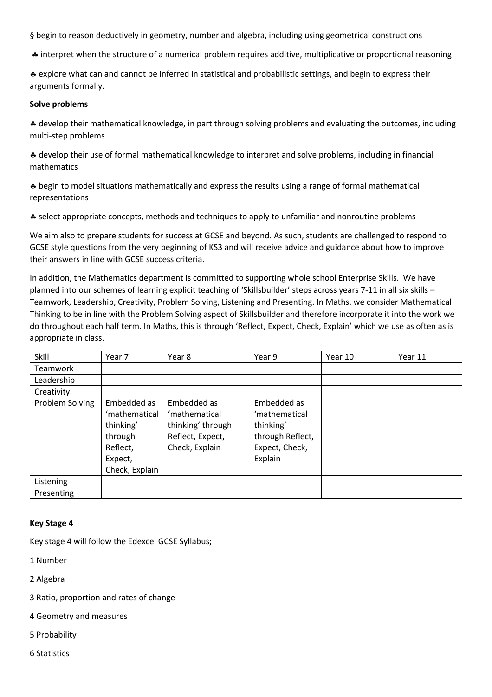§ begin to reason deductively in geometry, number and algebra, including using geometrical constructions

§ interpret when the structure of a numerical problem requires additive, multiplicative or proportional reasoning

§ explore what can and cannot be inferred in statistical and probabilistic settings, and begin to express their arguments formally.

# **Solve problems**

§ develop their mathematical knowledge, in part through solving problems and evaluating the outcomes, including multi-step problems

§ develop their use of formal mathematical knowledge to interpret and solve problems, including in financial mathematics

§ begin to model situations mathematically and express the results using a range of formal mathematical representations

§ select appropriate concepts, methods and techniques to apply to unfamiliar and nonroutine problems

We aim also to prepare students for success at GCSE and beyond. As such, students are challenged to respond to GCSE style questions from the very beginning of KS3 and will receive advice and guidance about how to improve their answers in line with GCSE success criteria.

In addition, the Mathematics department is committed to supporting whole school Enterprise Skills. We have planned into our schemes of learning explicit teaching of 'Skillsbuilder' steps across years 7-11 in all six skills – Teamwork, Leadership, Creativity, Problem Solving, Listening and Presenting. In Maths, we consider Mathematical Thinking to be in line with the Problem Solving aspect of Skillsbuilder and therefore incorporate it into the work we do throughout each half term. In Maths, this is through 'Reflect, Expect, Check, Explain' which we use as often as is appropriate in class.

| Skill           | Year 7                                                                                        | Year 8                                                                                  | Year 9                                                                                     | Year 10 | Year 11 |
|-----------------|-----------------------------------------------------------------------------------------------|-----------------------------------------------------------------------------------------|--------------------------------------------------------------------------------------------|---------|---------|
| <b>Teamwork</b> |                                                                                               |                                                                                         |                                                                                            |         |         |
| Leadership      |                                                                                               |                                                                                         |                                                                                            |         |         |
| Creativity      |                                                                                               |                                                                                         |                                                                                            |         |         |
| Problem Solving | Embedded as<br>'mathematical<br>thinking'<br>through<br>Reflect,<br>Expect,<br>Check, Explain | Embedded as<br>'mathematical<br>thinking' through<br>Reflect, Expect,<br>Check, Explain | Embedded as<br>'mathematical<br>thinking'<br>through Reflect,<br>Expect, Check,<br>Explain |         |         |
| Listening       |                                                                                               |                                                                                         |                                                                                            |         |         |
| Presenting      |                                                                                               |                                                                                         |                                                                                            |         |         |

# **Key Stage 4**

Key stage 4 will follow the Edexcel GCSE Syllabus;

1 Number

2 Algebra

3 Ratio, proportion and rates of change

4 Geometry and measures

5 Probability

6 Statistics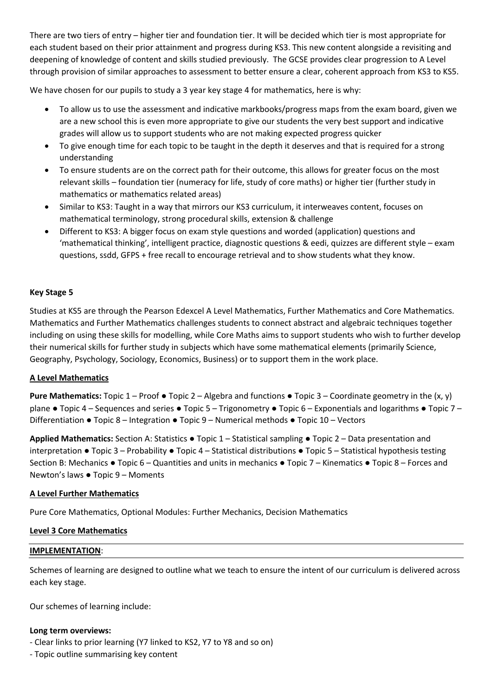There are two tiers of entry – higher tier and foundation tier. It will be decided which tier is most appropriate for each student based on their prior attainment and progress during KS3. This new content alongside a revisiting and deepening of knowledge of content and skills studied previously. The GCSE provides clear progression to A Level through provision of similar approaches to assessment to better ensure a clear, coherent approach from KS3 to KS5.

We have chosen for our pupils to study a 3 year key stage 4 for mathematics, here is why:

- To allow us to use the assessment and indicative markbooks/progress maps from the exam board, given we are a new school this is even more appropriate to give our students the very best support and indicative grades will allow us to support students who are not making expected progress quicker
- To give enough time for each topic to be taught in the depth it deserves and that is required for a strong understanding
- To ensure students are on the correct path for their outcome, this allows for greater focus on the most relevant skills – foundation tier (numeracy for life, study of core maths) or higher tier (further study in mathematics or mathematics related areas)
- Similar to KS3: Taught in a way that mirrors our KS3 curriculum, it interweaves content, focuses on mathematical terminology, strong procedural skills, extension & challenge
- Different to KS3: A bigger focus on exam style questions and worded (application) questions and 'mathematical thinking', intelligent practice, diagnostic questions & eedi, quizzes are different style – exam questions, ssdd, GFPS + free recall to encourage retrieval and to show students what they know.

# **Key Stage 5**

Studies at KS5 are through the Pearson Edexcel A Level Mathematics, Further Mathematics and Core Mathematics. Mathematics and Further Mathematics challenges students to connect abstract and algebraic techniques together including on using these skills for modelling, while Core Maths aims to support students who wish to further develop their numerical skills for further study in subjects which have some mathematical elements (primarily Science, Geography, Psychology, Sociology, Economics, Business) or to support them in the work place.

# **A Level Mathematics**

**Pure Mathematics:** Topic 1 – Proof ● Topic 2 – Algebra and functions ● Topic 3 – Coordinate geometry in the (x, y) plane • Topic 4 – Sequences and series • Topic 5 – Trigonometry • Topic 6 – Exponentials and logarithms • Topic 7 – Differentiation ● Topic 8 – Integration ● Topic 9 – Numerical methods ● Topic 10 – Vectors

**Applied Mathematics:** Section A: Statistics ● Topic 1 – Statistical sampling ● Topic 2 – Data presentation and interpretation ● Topic 3 – Probability ● Topic 4 – Statistical distributions ● Topic 5 – Statistical hypothesis testing Section B: Mechanics ● Topic 6 – Quantities and units in mechanics ● Topic 7 – Kinematics ● Topic 8 – Forces and Newton's laws ● Topic 9 – Moments

# **A Level Further Mathematics**

Pure Core Mathematics, Optional Modules: Further Mechanics, Decision Mathematics

# **Level 3 Core Mathematics**

# **IMPLEMENTATION**:

Schemes of learning are designed to outline what we teach to ensure the intent of our curriculum is delivered across each key stage.

Our schemes of learning include:

# **Long term overviews:**

- Clear links to prior learning (Y7 linked to KS2, Y7 to Y8 and so on)
- Topic outline summarising key content